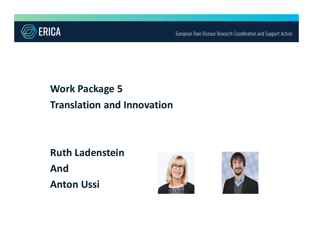

European Rare Disease Research Coordination and Support Action

## Work Package 5 Translation and Innovation

Ruth Ladenstein And Anton Ussi



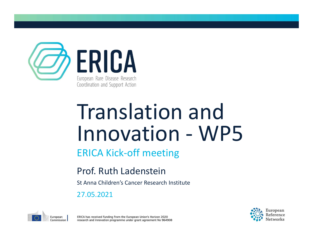

# Translation and ERICA<br>
Engean Rare Disease Reearch<br>
Translation and Support Action<br>
Innovation - WP5<br>ERICA Kick-off meeting

#### ERICA Kick-off meeting

#### Prof. Ruth Ladenstein

St Anna Children's Cancer Research Institute

27.05.2021



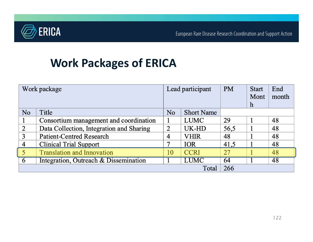

## Work Packages of ERICA

| Work package   |                                          | Lead participant |                   | <b>PM</b> | <b>Start</b><br>Mont<br>$\mathbf h$ | End<br>month |
|----------------|------------------------------------------|------------------|-------------------|-----------|-------------------------------------|--------------|
| N <sub>o</sub> | Title                                    | N <sub>o</sub>   | <b>Short Name</b> |           |                                     |              |
|                | Consortium management and coordination   |                  | LUMC              | 29        |                                     | 48           |
| 2              | Data Collection, Integration and Sharing | $\overline{2}$   | UK-HD             | 56,5      |                                     | 48           |
| 3              | <b>Patient-Centred Research</b>          | 4                | VHIR              | 48        |                                     | 48           |
| 4              | <b>Clinical Trial Support</b>            |                  | <b>IOR</b>        | 41,5      |                                     | 48           |
| 5              | <b>Translation and Innovation</b>        | 10               | <b>CCRI</b>       | 27        |                                     | 48           |
| 6              | Integration, Outreach & Dissemination    |                  | <b>LUMC</b>       | 64        |                                     | 48           |
| Total          |                                          |                  |                   | 266       |                                     |              |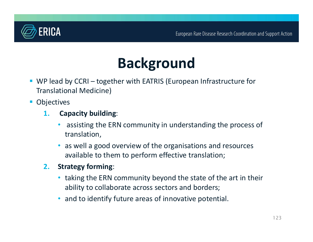

# Background

- European Rare Disease Research Coordination and Support Act (Support Act Research Coordination and Support Act Research Coordination and Support Act Research Coordination and Support Act Research Coordination and Support A Translational Medicine)
- **Objectives** 
	- 1. Capacity building:
		- assisting the ERN community in understanding the process of translation,
		- as well a good overview of the organisations and resources available to them to perform effective translation;
	- 2. Strategy forming:
		- taking the ERN community beyond the state of the art in their ability to collaborate across sectors and borders;
		- and to identify future areas of innovative potential.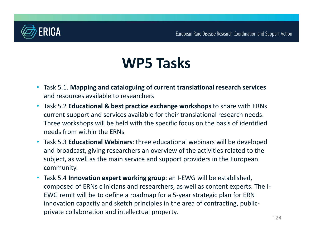

# WP5 Tasks

- Task 5.1. Mapping and cataloguing of current translational research services and resources available to researchers
- Task 5.2 Educational & best practice exchange workshops to share with ERNs current support and services available for their translational research needs. Three workshops will be held with the specific focus on the basis of identified needs from within the ERNs
- Task 5.3 Educational Webinars: three educational webinars will be developed and broadcast, giving researchers an overview of the activities related to the subject, as well as the main service and support providers in the European community.
- Task 5.4 **Innovation expert working group**: an I-EWG will be established, composed of ERNs clinicians and researchers, as well as content experts. The I-EWG remit will be to define a roadmap for a 5-year strategic plan for ERN innovation capacity and sketch principles in the area of contracting, publicprivate collaboration and intellectual property.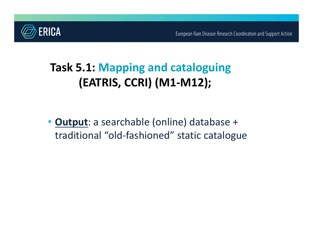

# Task 5.1: Mapping and cataloguing (EATRIS, CCRI) (M1-M12);

• Output: a searchable (online) database + traditional "old-fashioned" static catalogue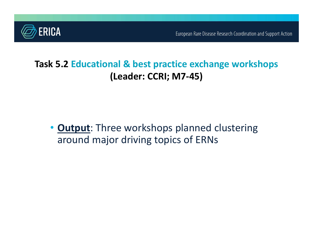

#### Task 5.2 Educational & best practice exchange workshops (Leader: CCRI; M7-45)

• **Output**: Three workshops planned clustering around major driving topics of ERNs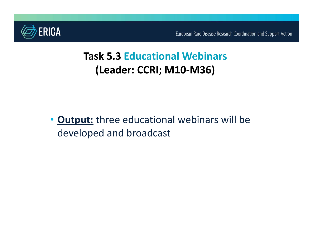

## Task 5.3 Educational Webinars (Leader: CCRI; M10-M36)

• Output: three educational webinars will be developed and broadcast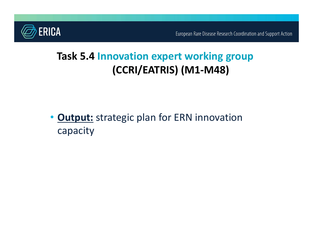

## Task 5.4 Innovation expert working group (CCRI/EATRIS) (M1-M48)

**Output:** strategic plan for ERN innovation capacity